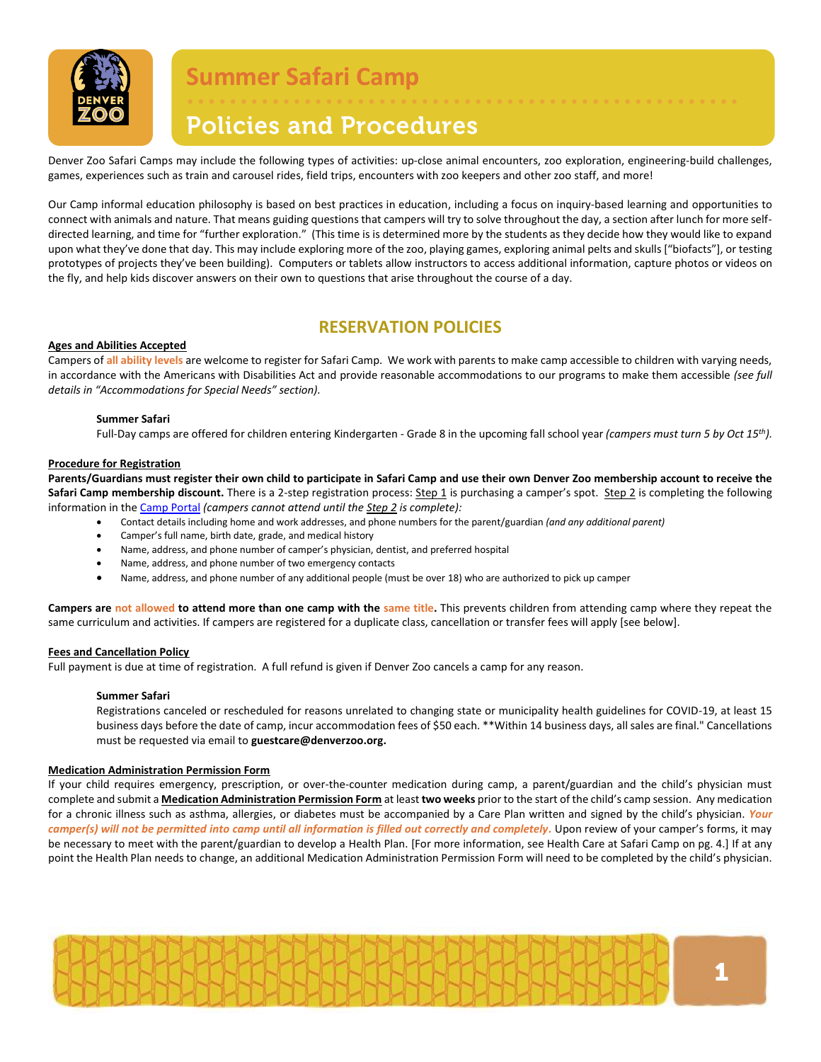

## **Policies and Procedures**

Denver Zoo Safari Camps may include the following types of activities: up-close animal encounters, zoo exploration, engineering-build challenges, games, experiences such as train and carousel rides[, field trips,](#page-3-0) encounters with zoo keepers and other zoo staff, and more!

• • • • • • • • • • • • • • • • • • • • • • • • • • • • • • • • • • • • • • • • • • • • • • • • • • • •

Our Camp informal education philosophy is based on best practices in education, including a focus on inquiry-based learning and opportunities to connect with animals and nature. That means guiding questions that campers will try to solve throughout the day, a section after lunch for more selfdirected learning, and time for "further exploration." (This time is is determined more by the students as they decide how they would like to expand upon what they've done that day. This may include exploring more of the zoo, playing games, exploring animal pelts and skulls ["biofacts"], or testing prototypes of projects they've been building). Computers or tablets allow instructors to access additional information, capture photos or videos on the fly, and help kids discover answers on their own to questions that arise throughout the course of a day.

### **RESERVATION POLICIES**

#### **Ages and Abilities Accepted**

Campers of **all ability levels** are welcome to register for Safari Camp. We work with parents to make camp accessible to children with varying needs, in accordance with the Americans with Disabilities Act and provide reasonable accommodations to our programs to make them accessible *(see full details in "Accommodations for Special Needs" section).*

#### **Summer Safari**

Full-Day camps are offered for children entering Kindergarten - Grade 8 in the upcoming fall school year *(campers must turn 5 by Oct 15th).*

#### **Procedure for Registration**

**Parents/Guardians must register their own child to participate in Safari Camp and use their own Denver Zoo membership account to receive the**  Safari Camp membership discount. There is a 2-step registration process: Step 1 is purchasing a camper's spot. Step 2 is completing the following information in th[e Camp Portal](https://account.denverzoo.org/account/login?returnurl=%2F) *(campers cannot attend until the Step 2 is complete):*

- Contact details including home and work addresses, and phone numbers for the parent/guardian *(and any additional parent)* 
	- Camper's full name, birth date, grade, and medical history
	- Name, address, and phone number of camper's physician, dentist, and preferred hospital
	- Name, address, and phone number of two emergency contacts
	- Name, address, and phone number of any additional people (must be over 18) who are authorized to pick up camper

**Campers are not allowed to attend more than one camp with the same title.** This prevents children from attending camp where they repeat the same curriculum and activities. If campers are registered for a duplicate class, cancellation or transfer fees will apply [see below].

#### **Fees and Cancellation Policy**

Full payment is due at time of registration. A full refund is given if Denver Zoo cancels a camp for any reason.

#### **Summer Safari**

Registrations canceled or rescheduled for reasons unrelated to changing state or municipality health guidelines for COVID-19, at least 15 business days before the date of camp, incur accommodation fees of \$50 each. \*\*Within 14 business days, all sales are final." Cancellations must be requested via email to **[guestcare@denverzoo.org.](mailto:guestcare@denverzoo.org)** 

#### **Medication Administration Permission Form**

If your child requires emergency, prescription, or over-the-counter medication during camp, a parent/guardian and the child's physician must complete and submit a **Medication Administration Permission Form** at least **two weeks** prior to the start of the child's camp session. Any medication for a chronic illness such as asthma, allergies, or diabetes must be accompanied by a Care Plan written and signed by the child's physician. *Your camper(s) will not be permitted into camp until all information is filled out correctly and completely.* Upon review of your camper's forms, it may be necessary to meet with the parent/guardian to develop a Health Plan. [For more information, see Health Care at Safari Camp on pg. 4.] If at any point the Health Plan needs to change, an additional Medication Administration Permission Form will need to be completed by the child's physician.

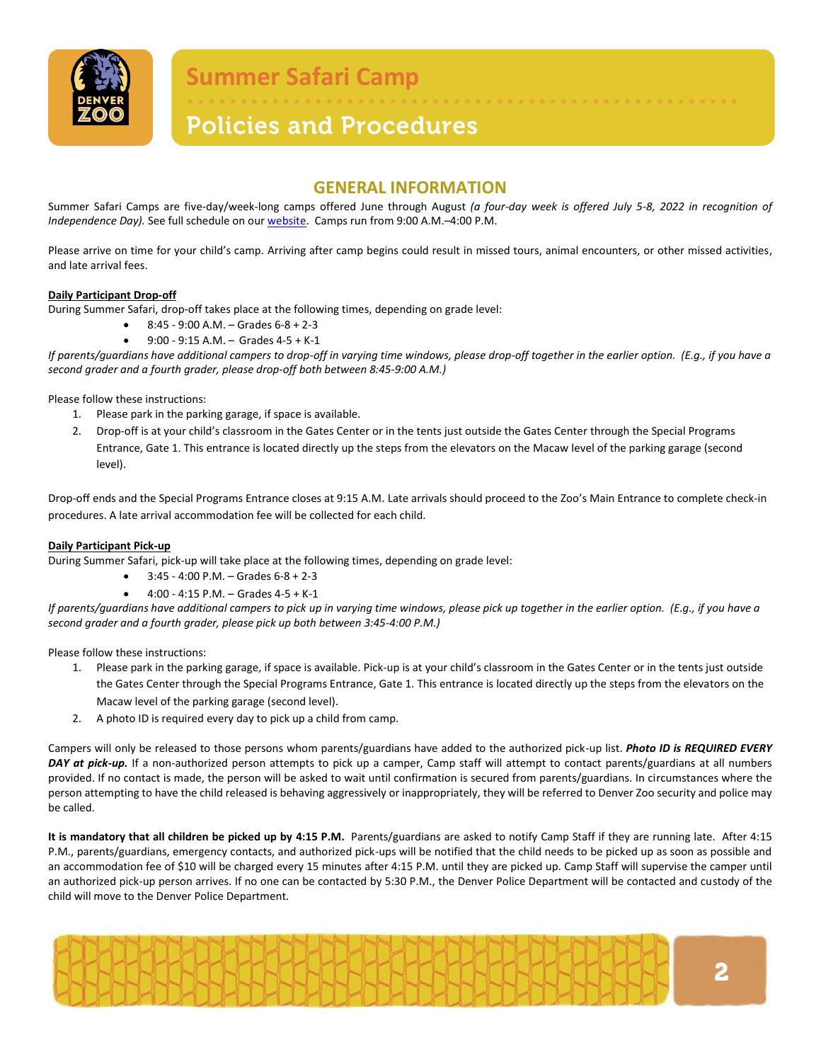

# **Policies and Procedures**

### **GENERAL INFORMATION**

• • • • • • • • • • • • • • • • • • • • • • • • • • • • • • • • • • • • • • • • • • • • • • • • • • • •

Summer Safari Camps are five-day/week-long camps offered June through August *(a four-day week is offered July 5-8, 2022 in recognition of Independence Day).* See full schedule on ou[r website.](https://www.denverzoo.org/safari-camps) Camps run from 9:00 A.M.–4:00 P.M.

Please arrive on time for your child's camp. Arriving after camp begins could result in missed tours, animal encounters, or other missed activities, and late arrival fees.

#### **Daily Participant Drop-off**

During Summer Safari, drop-off takes place at the following times, depending on grade level:

- 8:45 9:00 A.M. Grades 6-8 + 2-3
- 9:00 9:15 A.M. Grades 4-5 + K-1

*If parents/guardians have additional campers to drop-off in varying time windows, please drop-off together in the earlier option. (E.g., if you have a second grader and a fourth grader, please drop-off both between 8:45-9:00 A.M.)* 

Please follow these instructions:

- 1. Please park in the parking garage, if space is available.
- 2. Drop-off is at your child's classroom in the Gates Center or in the tents just outside the Gates Center through the Special Programs Entrance, Gate 1. This entrance is located directly up the steps from the elevators on the Macaw level of the parking garage (second level).

Drop-off ends and the Special Programs Entrance closes at 9:15 A.M. Late arrivals should proceed to the Zoo's Main Entrance to complete check-in procedures. A late arrival accommodation fee will be collected for each child.

#### **Daily Participant Pick-up**

During Summer Safari, pick-up will take place at the following times, depending on grade level:

 $\bullet$  3:45 - 4:00 P.M. – Grades 6-8 + 2-3

• 4:00 - 4:15 P.M. – Grades 4-5 + K-1 *If parents/guardians have additional campers to pick up in varying time windows, please pick up together in the earlier option. (E.g., if you have a second grader and a fourth grader, please pick up both between 3:45-4:00 P.M.)* 

Please follow these instructions:

- 1. Please park in the parking garage, if space is available. Pick-up is at your child's classroom in the Gates Center or in the tents just outside the Gates Center through the Special Programs Entrance, Gate 1. This entrance is located directly up the steps from the elevators on the Macaw level of the parking garage (second level).
- 2. A photo ID is required every day to pick up a child from camp.

Campers will only be released to those persons whom parents/guardians have added to the authorized pick-up list. *Photo ID is REQUIRED EVERY DAY at pick-up.* If a non-authorized person attempts to pick up a camper, Camp staff will attempt to contact parents/guardians at all numbers provided. If no contact is made, the person will be asked to wait until confirmation is secured from parents/guardians. In circumstances where the person attempting to have the child released is behaving aggressively or inappropriately, they will be referred to Denver Zoo security and police may be called.

**It is mandatory that all children be picked up by 4:15 P.M.** Parents/guardians are asked to notify Camp Staff if they are running late. After 4:15 P.M., parents/guardians, emergency contacts, and authorized pick-ups will be notified that the child needs to be picked up as soon as possible and an accommodation fee of \$10 will be charged every 15 minutes after 4:15 P.M. until they are picked up. Camp Staff will supervise the camper until an authorized pick-up person arrives. If no one can be contacted by 5:30 P.M., the Denver Police Department will be contacted and custody of the child will move to the Denver Police Department.

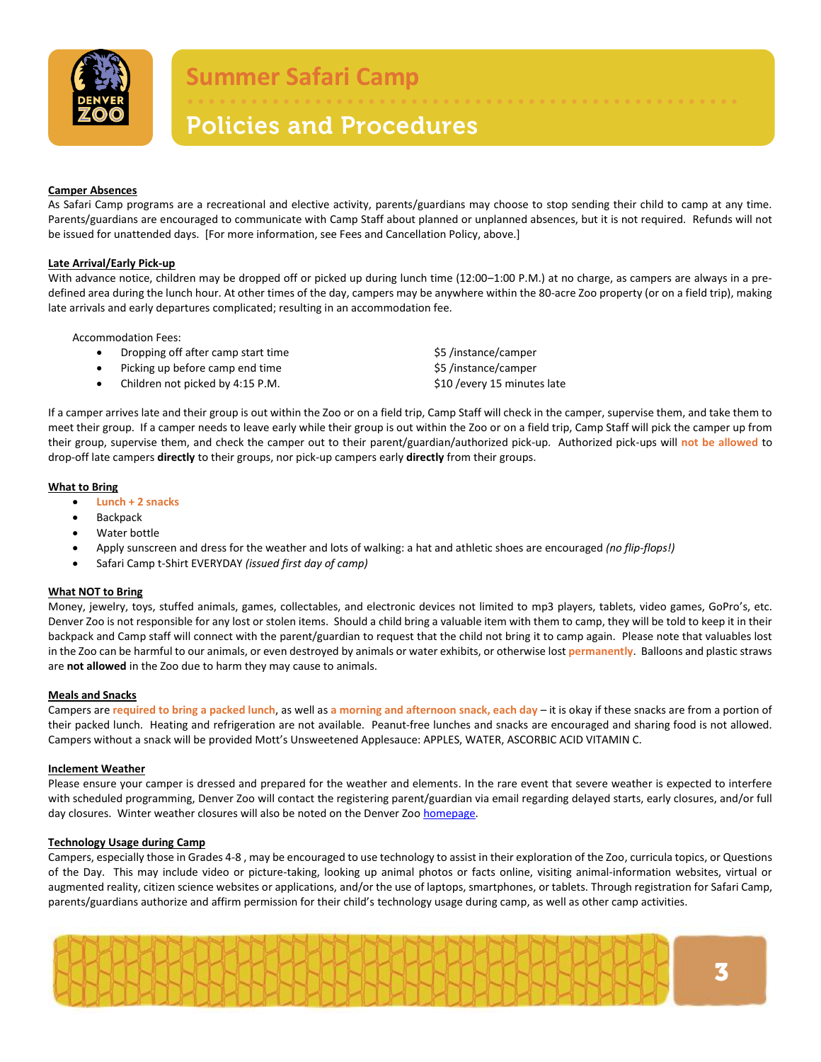

### • • • • • • • • • • • • • • • • • • • • • • • • • • • • • • • • • • • • • • • • • • • • • • • • • • • • **Policies and Procedures**

#### **Camper Absences**

As Safari Camp programs are a recreational and elective activity, parents/guardians may choose to stop sending their child to camp at any time. Parents/guardians are encouraged to communicate with Camp Staff about planned or unplanned absences, but it is not required. Refunds will not be issued for unattended days. [For more information, see Fees and Cancellation Policy, above.]

#### **Late Arrival/Early Pick-up**

With advance notice, children may be dropped off or picked up during lunch time (12:00-1:00 P.M.) at no charge, as campers are always in a predefined area during the lunch hour. At other times of the day, campers may be anywhere within the 80-acre Zoo property (or on a field trip), making late arrivals and early departures complicated; resulting in an accommodation fee.

Accommodation Fees:

- Dropping off after camp start time  $$5$  /instance/camper
- Picking up before camp end time  $\frac{1}{2}$  and time  $\frac{1}{2}$  and  $\frac{1}{2}$  instance/camper
- Children not picked by 4:15 P.M. \$10 /every 15 minutes late

If a camper arrives late and their group is out within the Zoo or on a field trip, Camp Staff will check in the camper, supervise them, and take them to meet their group. If a camper needs to leave early while their group is out within the Zoo or on a field trip, Camp Staff will pick the camper up from their group, supervise them, and check the camper out to their parent/guardian/authorized pick-up. Authorized pick-ups will **not be allowed** to drop-off late campers **directly** to their groups, nor pick-up campers early **directly** from their groups.

#### **What to Bring**

- **Lunch + 2 snacks**
- **Backpack**
- Water bottle
- Apply sunscreen and dress for the weather and lots of walking: a hat and athletic shoes are encouraged *(no flip-flops!)*
- Safari Camp t-Shirt EVERYDAY *(issued first day of camp)*

#### **What NOT to Bring**

Money, jewelry, toys, stuffed animals, games, collectables, and electronic devices not limited to mp3 players, tablets, video games, GoPro's, etc. Denver Zoo is not responsible for any lost or stolen items. Should a child bring a valuable item with them to camp, they will be told to keep it in their backpack and Camp staff will connect with the parent/guardian to request that the child not bring it to camp again. Please note that valuables lost in the Zoo can be harmful to our animals, or even destroyed by animals or water exhibits, or otherwise lost **permanently**. Balloons and plastic straws are **not allowed** in the Zoo due to harm they may cause to animals.

#### **Meals and Snacks**

Campers are **required to bring a packed lunch**, as well as **a morning and afternoon snack, each day** – it is okay if these snacks are from a portion of their packed lunch. Heating and refrigeration are not available. Peanut-free lunches and snacks are encouraged and sharing food is not allowed. Campers without a snack will be provided Mott's Unsweetened Applesauce: APPLES, WATER, ASCORBIC ACID VITAMIN C.

#### **Inclement Weather**

Please ensure your camper is dressed and prepared for the weather and elements. In the rare event that severe weather is expected to interfere with scheduled programming, Denver Zoo will contact the registering parent/guardian via email regarding delayed starts, early closures, and/or full day closures. Winter weather closures will also be noted on the Denver Zoo [homepage.](https://www.denverzoo.org/)

#### **Technology Usage during Camp**

Campers, especially those in Grades 4-8 , may be encouraged to use technology to assist in their exploration of the Zoo, curricula topics, or Questions of the Day. This may include video or picture-taking, looking up animal photos or facts online, visiting animal-information websites, virtual or augmented reality, citizen science websites or applications, and/or the use of laptops, smartphones, or tablets. Through registration for Safari Camp, parents/guardians authorize and affirm permission for their child's technology usage during camp, as well as other camp activities.

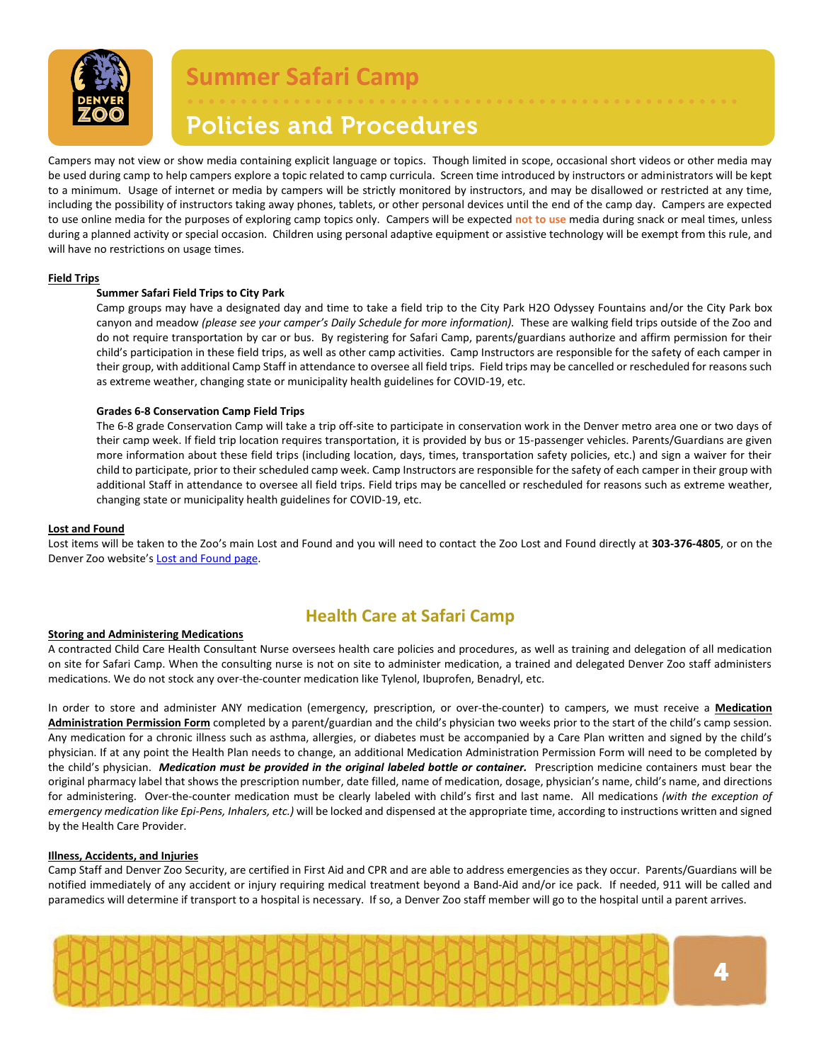

### • • • • • • • • • • • • • • • • • • • • • • • • • • • • • • • • • • • • • • • • • • • • • • • • • • • • **Policies and Procedures**

Campers may not view or show media containing explicit language or topics. Though limited in scope, occasional short videos or other media may be used during camp to help campers explore a topic related to camp curricula. Screen time introduced by instructors or administrators will be kept to a minimum. Usage of internet or media by campers will be strictly monitored by instructors, and may be disallowed or restricted at any time, including the possibility of instructors taking away phones, tablets, or other personal devices until the end of the camp day. Campers are expected to use online media for the purposes of exploring camp topics only. Campers will be expected **not to use** media during snack or meal times, unless during a planned activity or special occasion. Children using personal adaptive equipment or assistive technology will be exempt from this rule, and will have no restrictions on usage times.

#### <span id="page-3-0"></span>**Field Trips**

#### **Summer Safari Field Trips to City Park**

Camp groups may have a designated day and time to take a field trip to the City Park H2O Odyssey Fountains and/or the City Park box canyon and meadow *(please see your camper's Daily Schedule for more information).* These are walking field trips outside of the Zoo and do not require transportation by car or bus. By registering for Safari Camp, parents/guardians authorize and affirm permission for their child's participation in these field trips, as well as other camp activities. Camp Instructors are responsible for the safety of each camper in their group, with additional Camp Staff in attendance to oversee all field trips. Field trips may be cancelled or rescheduled for reasons such as extreme weather, changing state or municipality health guidelines for COVID-19, etc.

#### **Grades 6-8 Conservation Camp Field Trips**

The 6-8 grade Conservation Camp will take a trip off-site to participate in conservation work in the Denver metro area one or two days of their camp week. If field trip location requires transportation, it is provided by bus or 15-passenger vehicles. Parents/Guardians are given more information about these field trips (including location, days, times, transportation safety policies, etc.) and sign a waiver for their child to participate, prior to their scheduled camp week. Camp Instructors are responsible for the safety of each camper in their group with additional Staff in attendance to oversee all field trips. Field trips may be cancelled or rescheduled for reasons such as extreme weather, changing state or municipality health guidelines for COVID-19, etc.

#### **Lost and Found**

Lost items will be taken to the Zoo's main Lost and Found and you will need to contact the Zoo Lost and Found directly at **303-376-4805**, or on the Denver Zoo website's [Lost and Found page.](https://www.denverzoo.org/lostandfound/)

### **Health Care at Safari Camp**

#### **Storing and Administering Medications**

A contracted Child Care Health Consultant Nurse oversees health care policies and procedures, as well as training and delegation of all medication on site for Safari Camp. When the consulting nurse is not on site to administer medication, a trained and delegated Denver Zoo staff administers medications. We do not stock any over-the-counter medication like Tylenol, Ibuprofen, Benadryl, etc.

In order to store and administer ANY medication (emergency, prescription, or over-the-counter) to campers, we must receive a **Medication Administration Permission Form** completed by a parent/guardian and the child's physician two weeks prior to the start of the child's camp session. Any medication for a chronic illness such as asthma, allergies, or diabetes must be accompanied by a Care Plan written and signed by the child's physician. If at any point the Health Plan needs to change, an additional Medication Administration Permission Form will need to be completed by the child's physician. *Medication must be provided in the original labeled bottle or container.* Prescription medicine containers must bear the original pharmacy label that shows the prescription number, date filled, name of medication, dosage, physician's name, child's name, and directions for administering. Over-the-counter medication must be clearly labeled with child's first and last name. All medications *(with the exception of emergency medication like Epi-Pens, Inhalers, etc.)* will be locked and dispensed at the appropriate time, according to instructions written and signed by the Health Care Provider.

#### **Illness, Accidents, and Injuries**

Camp Staff and Denver Zoo Security, are certified in First Aid and CPR and are able to address emergencies as they occur. Parents/Guardians will be notified immediately of any accident or injury requiring medical treatment beyond a Band-Aid and/or ice pack. If needed, 911 will be called and paramedics will determine if transport to a hospital is necessary. If so, a Denver Zoo staff member will go to the hospital until a parent arrives.

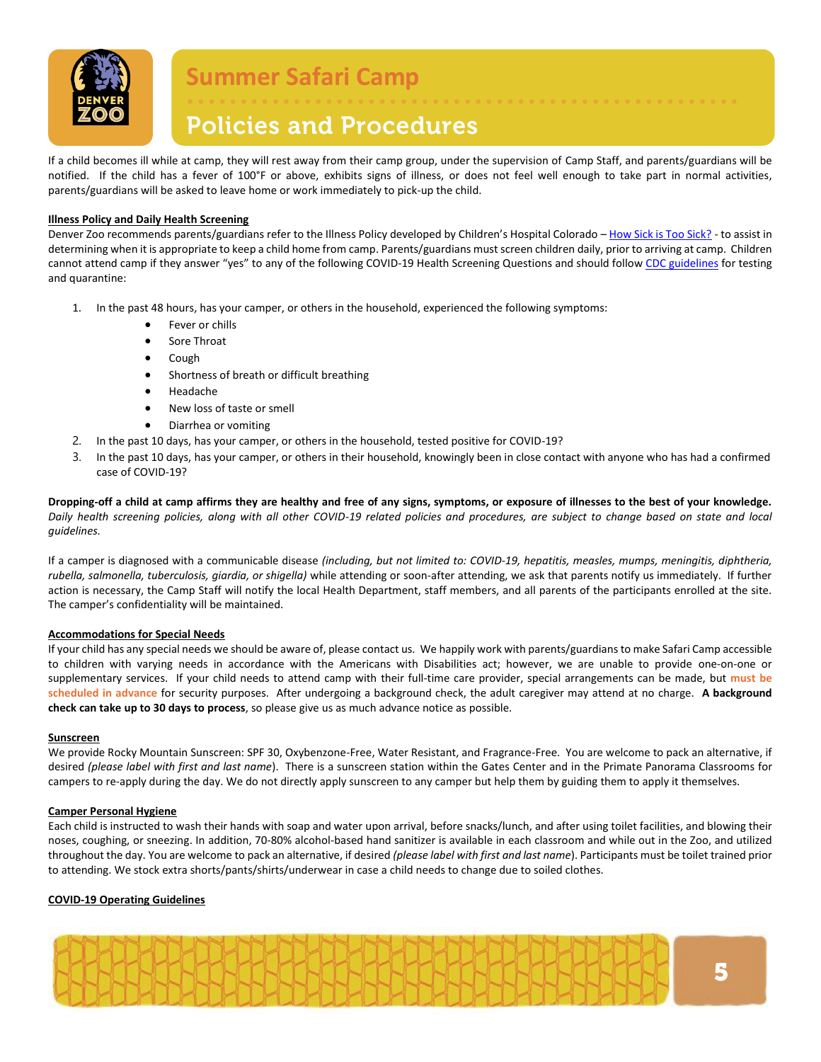

# **Policies and Procedures**

If a child becomes ill while at camp, they will rest away from their camp group, under the supervision of Camp Staff, and parents/guardians will be notified. If the child has a fever of 100°F or above, exhibits signs of illness, or does not feel well enough to take part in normal activities, parents/guardians will be asked to leave home or work immediately to pick-up the child.

• • • • • • • • • • • • • • • • • • • • • • • • • • • • • • • • • • • • • • • • • • • • • • • • • • • •

#### **Illness Policy and Daily Health Screening**

Denver Zoo recommends parents/guardians refer to the Illness Policy developed by Children's Hospital Colorado - [How Sick is Too Sick?](https://www.denverzoo.org/wp-content/uploads/2019/10/Illness-Policy.pdf) - to assist in determining when it is appropriate to keep a child home from camp. Parents/guardians must screen children daily, prior to arriving at camp. Children cannot attend camp if they answer "yes" to any of the following COVID-19 Health Screening Questions and should follo[w CDC guidelines](https://www.cdc.gov/coronavirus/2019-ncov/your-health/quarantine-isolation.html?CDC_AA_refVal=https%3A%2F%2Fwww.cdc.gov%2Fcoronavirus%2F2019-ncov%2Fphp%2Fpublic-health-recommendations.html) for testing and quarantine:

- 1. In the past 48 hours, has your camper, or others in the household, experienced the following symptoms:
	- Fever or chills
	- Sore Throat
	- Cough
	- Shortness of breath or difficult breathing
	- Headache
	- New loss of taste or smell
	- Diarrhea or vomiting
- 2. In the past 10 days, has your camper, or others in the household, tested positive for COVID-19?
- 3. In the past 10 days, has your camper, or others in their household, knowingly been in close contact with anyone who has had a confirmed case of COVID-19?

**Dropping-off a child at camp affirms they are healthy and free of any signs, symptoms, or exposure of illnesses to the best of your knowledge.** *Daily health screening policies, along with all other COVID-19 related policies and procedures, are subject to change based on state and local guidelines.*

If a camper is diagnosed with a communicable disease *(including, but not limited to: COVID-19, hepatitis, measles, mumps, meningitis, diphtheria, rubella, salmonella, tuberculosis, giardia, or shigella)* while attending or soon-after attending, we ask that parents notify us immediately. If further action is necessary, the Camp Staff will notify the local Health Department, staff members, and all parents of the participants enrolled at the site. The camper's confidentiality will be maintained.

#### **Accommodations for Special Needs**

If your child has any special needs we should be aware of, please contact us. We happily work with parents/guardians to make Safari Camp accessible to children with varying needs in accordance with the Americans with Disabilities act; however, we are unable to provide one-on-one or supplementary services. If your child needs to attend camp with their full-time care provider, special arrangements can be made, but **must be scheduled in advance** for security purposes. After undergoing a background check, the adult caregiver may attend at no charge. **A background check can take up to 30 days to process**, so please give us as much advance notice as possible.

#### **Sunscreen**

We provide Rocky Mountain Sunscreen: SPF 30, Oxybenzone-Free, Water Resistant, and Fragrance-Free. You are welcome to pack an alternative, if desired *(please label with first and last name*). There is a sunscreen station within the Gates Center and in the Primate Panorama Classrooms for campers to re-apply during the day. We do not directly apply sunscreen to any camper but help them by guiding them to apply it themselves.

#### **Camper Personal Hygiene**

Each child is instructed to wash their hands with soap and water upon arrival, before snacks/lunch, and after using toilet facilities, and blowing their noses, coughing, or sneezing. In addition, 70-80% alcohol-based hand sanitizer is available in each classroom and while out in the Zoo, and utilized throughout the day. You are welcome to pack an alternative, if desired *(please label with first and last name*). Participants must be toilet trained prior to attending. We stock extra shorts/pants/shirts/underwear in case a child needs to change due to soiled clothes.

#### **COVID-19 Operating Guidelines**

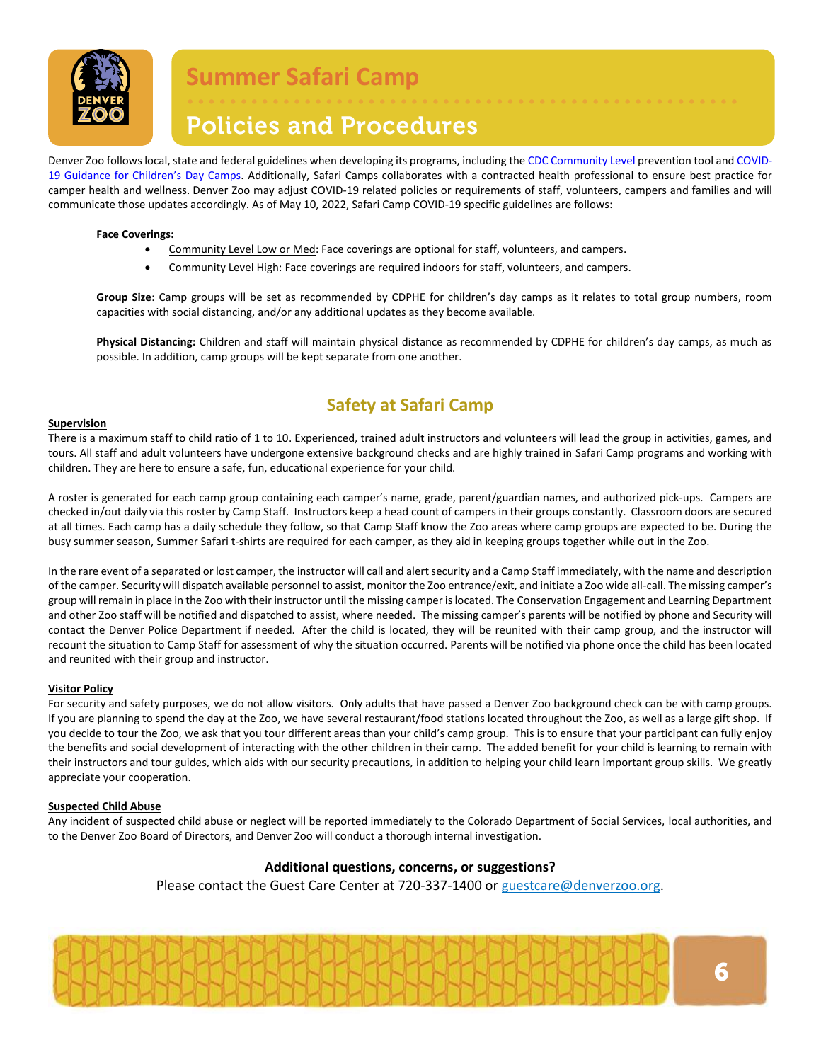

# **Policies and Procedures**

Denver Zoo follows local, state and federal guidelines when developing its programs, including th[e CDC Community Level](https://www.cdc.gov/coronavirus/2019-ncov/your-health/covid-by-county.html) prevention tool an[d COVID-](https://covid19.colorado.gov/childrens-day-camps-youth-sports-camps)[19 Guidance for Children's Day Camps](https://covid19.colorado.gov/childrens-day-camps-youth-sports-camps). Additionally, Safari Camps collaborates with a contracted health professional to ensure best practice for camper health and wellness. Denver Zoo may adjust COVID-19 related policies or requirements of staff, volunteers, campers and families and will communicate those updates accordingly. As of May 10, 2022, Safari Camp COVID-19 specific guidelines are follows:

#### **Face Coverings:**

- Community Level Low or Med: Face coverings are optional for staff, volunteers, and campers.
- Community Level High: Face coverings are required indoors for staff, volunteers, and campers.

**Group Size**: Camp groups will be set as recommended by CDPHE for children's day camps as it relates to total group numbers, room capacities with social distancing, and/or any additional updates as they become available.

• • • • • • • • • • • • • • • • • • • • • • • • • • • • • • • • • • • • • • • • • • • • • • • • • • • •

**Physical Distancing:** Children and staff will maintain physical distance as recommended by CDPHE for children's day camps, as much as possible. In addition, camp groups will be kept separate from one another.

### **Safety at Safari Camp**

#### **Supervision**

There is a maximum staff to child ratio of 1 to 10. Experienced, trained adult instructors and volunteers will lead the group in activities, games, and tours. All staff and adult volunteers have undergone extensive background checks and are highly trained in Safari Camp programs and working with children. They are here to ensure a safe, fun, educational experience for your child.

A roster is generated for each camp group containing each camper's name, grade, parent/guardian names, and authorized pick-ups. Campers are checked in/out daily via this roster by Camp Staff. Instructors keep a head count of campers in their groups constantly. Classroom doors are secured at all times. Each camp has a daily schedule they follow, so that Camp Staff know the Zoo areas where camp groups are expected to be. During the busy summer season, Summer Safari t-shirts are required for each camper, as they aid in keeping groups together while out in the Zoo.

In the rare event of a separated or lost camper, the instructor will call and alert security and a Camp Staff immediately, with the name and description of the camper. Security will dispatch available personnel to assist, monitor the Zoo entrance/exit, and initiate a Zoo wide all-call. The missing camper's group will remain in place in the Zoo with their instructor until the missing camper is located. The Conservation Engagement and Learning Department and other Zoo staff will be notified and dispatched to assist, where needed. The missing camper's parents will be notified by phone and Security will contact the Denver Police Department if needed. After the child is located, they will be reunited with their camp group, and the instructor will recount the situation to Camp Staff for assessment of why the situation occurred. Parents will be notified via phone once the child has been located and reunited with their group and instructor.

#### **Visitor Policy**

For security and safety purposes, we do not allow visitors. Only adults that have passed a Denver Zoo background check can be with camp groups. If you are planning to spend the day at the Zoo, we have several restaurant/food stations located throughout the Zoo, as well as a large gift shop. If you decide to tour the Zoo, we ask that you tour different areas than your child's camp group. This is to ensure that your participant can fully enjoy the benefits and social development of interacting with the other children in their camp. The added benefit for your child is learning to remain with their instructors and tour guides, which aids with our security precautions, in addition to helping your child learn important group skills. We greatly appreciate your cooperation.

#### **Suspected Child Abuse**

Any incident of suspected child abuse or neglect will be reported immediately to the Colorado Department of Social Services, local authorities, and to the Denver Zoo Board of Directors, and Denver Zoo will conduct a thorough internal investigation.

#### **Additional questions, concerns, or suggestions?**

Please contact the Guest Care Center at 720-337-1400 or [guestcare@denverzoo.org.](mailto:guestcare@denverzoo.org)